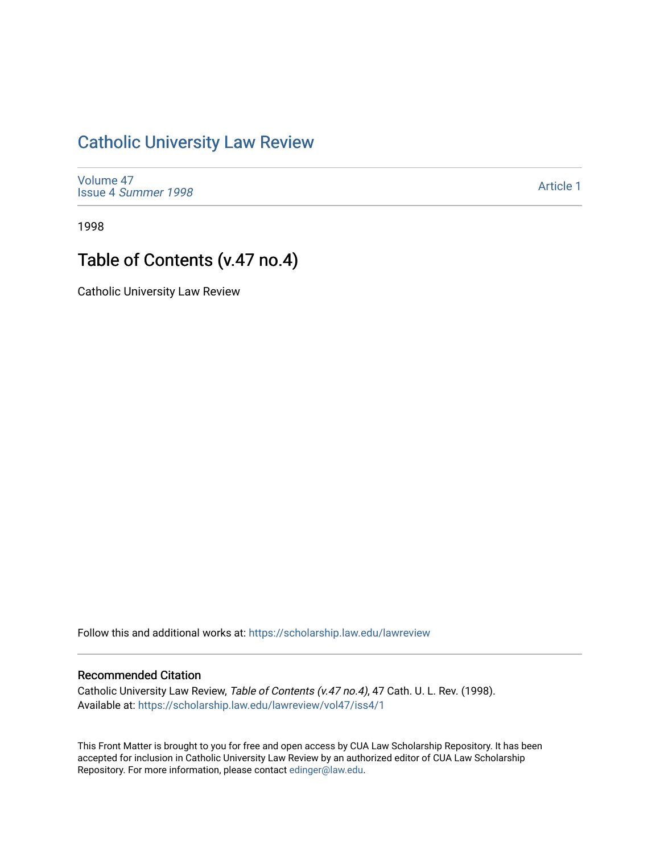## [Catholic University Law Review](https://scholarship.law.edu/lawreview)

[Volume 47](https://scholarship.law.edu/lawreview/vol47) Issue 4 [Summer 1998](https://scholarship.law.edu/lawreview/vol47/iss4) 

[Article 1](https://scholarship.law.edu/lawreview/vol47/iss4/1) 

1998

## Table of Contents (v.47 no.4)

Catholic University Law Review

Follow this and additional works at: [https://scholarship.law.edu/lawreview](https://scholarship.law.edu/lawreview?utm_source=scholarship.law.edu%2Flawreview%2Fvol47%2Fiss4%2F1&utm_medium=PDF&utm_campaign=PDFCoverPages)

## Recommended Citation

Catholic University Law Review, Table of Contents (v.47 no.4), 47 Cath. U. L. Rev. (1998). Available at: [https://scholarship.law.edu/lawreview/vol47/iss4/1](https://scholarship.law.edu/lawreview/vol47/iss4/1?utm_source=scholarship.law.edu%2Flawreview%2Fvol47%2Fiss4%2F1&utm_medium=PDF&utm_campaign=PDFCoverPages)

This Front Matter is brought to you for free and open access by CUA Law Scholarship Repository. It has been accepted for inclusion in Catholic University Law Review by an authorized editor of CUA Law Scholarship Repository. For more information, please contact [edinger@law.edu.](mailto:edinger@law.edu)